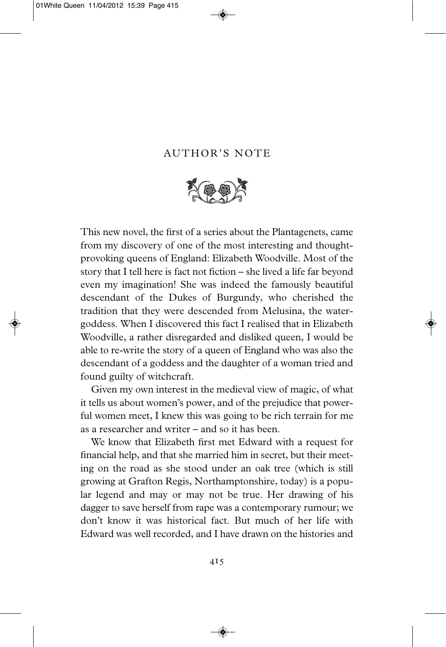## AUTHOR'S NOTE



This new novel, the first of a series about the Plantagenets, came from my discovery of one of the most interesting and thoughtprovoking queens of England: Elizabeth Woodville. Most of the story that I tell here is fact not fiction – she lived a life far beyond even my imagination! She was indeed the famously beautiful descendant of the Dukes of Burgundy, who cherished the tradition that they were descended from Melusina, the watergoddess. When I discovered this fact I realised that in Elizabeth Woodville, a rather disregarded and disliked queen, I would be able to re-write the story of a queen of England who was also the descendant of a goddess and the daughter of a woman tried and found guilty of witchcraft.

Given my own interest in the medieval view of magic, of what it tells us about women's power, and of the prejudice that power ful women meet, I knew this was going to be rich terrain for me as a researcher and writer – and so it has been.

We know that Elizabeth first met Edward with a request for financial help, and that she married him in secret, but their meeting on the road as she stood under an oak tree (which is still growing at Grafton Regis, Northamptonshire, today) is a popular legend and may or may not be true. Her drawing of his dagger to save herself from rape was a contemporary rumour; we don't know it was historical fact. But much of her life with Edward was well recorded, and I have drawn on the histories and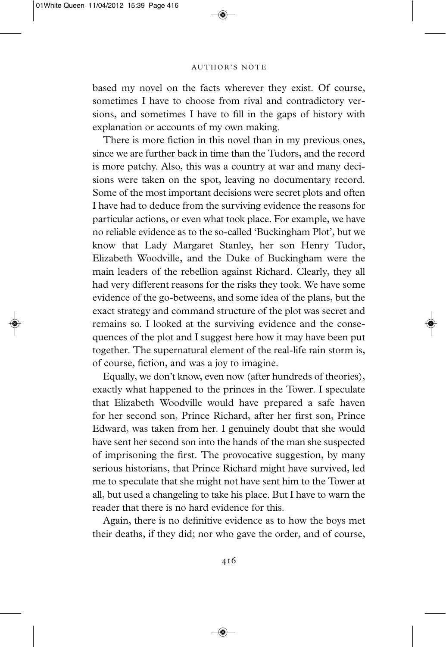## AUTHOR'S NOTE

based my novel on the facts wherever they exist. Of course, sometimes I have to choose from rival and contradictory versions, and sometimes I have to fill in the gaps of history with explanation or accounts of my own making.

There is more fiction in this novel than in my previous ones, since we are further back in time than the Tudors, and the record is more patchy. Also, this was a country at war and many decisions were taken on the spot, leaving no documentary record. Some of the most important decisions were secret plots and often I have had to deduce from the surviving evidence the reasons for particular actions, or even what took place. For example, we have no reliable evidence as to the so-called 'Buckingham Plot', but we know that Lady Margaret Stanley, her son Henry Tudor, Elizabeth Woodville, and the Duke of Buckingham were the main leaders of the rebellion against Richard. Clearly, they all had very different reasons for the risks they took. We have some evidence of the go-betweens, and some idea of the plans, but the exact strategy and command structure of the plot was secret and remains so. I looked at the surviving evidence and the consequences of the plot and I suggest here how it may have been put together. The supernatural element of the real-life rain storm is, of course, fiction, and was a joy to imagine.

Equally, we don't know, even now (after hundreds of theories), exactly what happened to the princes in the Tower. I speculate that Elizabeth Woodville would have prepared a safe haven for her second son, Prince Richard, after her first son, Prince Edward, was taken from her. I genuinely doubt that she would have sent her second son into the hands of the man she suspected of imprisoning the first. The provocative suggestion, by many serious historians, that Prince Richard might have survived, led me to speculate that she might not have sent him to the Tower at all, but used a changeling to take his place. But I have to warn the reader that there is no hard evidence for this.

Again, there is no definitive evidence as to how the boys met their deaths, if they did; nor who gave the order, and of course,